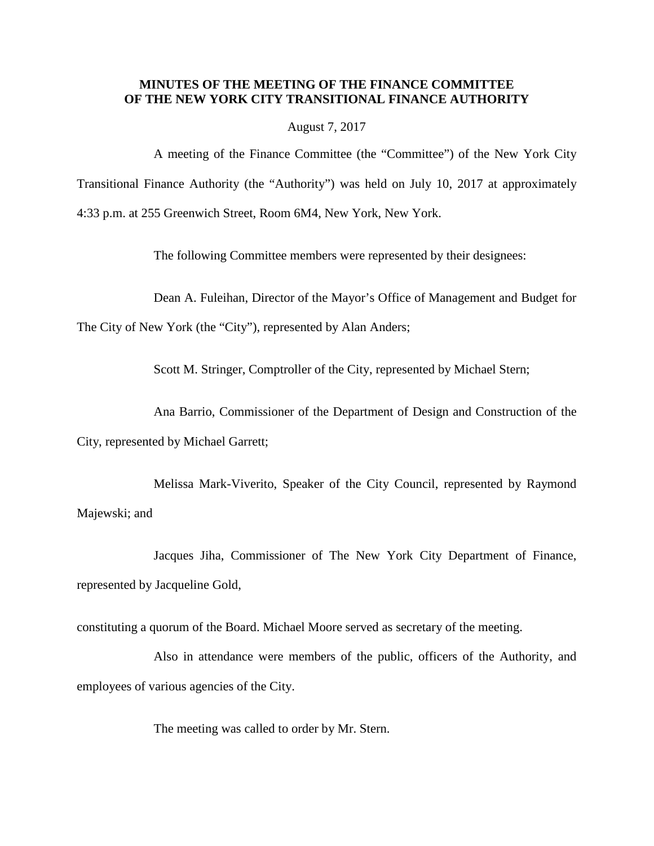## **MINUTES OF THE MEETING OF THE FINANCE COMMITTEE OF THE NEW YORK CITY TRANSITIONAL FINANCE AUTHORITY**

August 7, 2017

A meeting of the Finance Committee (the "Committee") of the New York City Transitional Finance Authority (the "Authority") was held on July 10, 2017 at approximately 4:33 p.m. at 255 Greenwich Street, Room 6M4, New York, New York.

The following Committee members were represented by their designees:

Dean A. Fuleihan, Director of the Mayor's Office of Management and Budget for

The City of New York (the "City"), represented by Alan Anders;

Scott M. Stringer, Comptroller of the City, represented by Michael Stern;

Ana Barrio, Commissioner of the Department of Design and Construction of the

City, represented by Michael Garrett;

Melissa Mark-Viverito, Speaker of the City Council, represented by Raymond Majewski; and

Jacques Jiha, Commissioner of The New York City Department of Finance, represented by Jacqueline Gold,

constituting a quorum of the Board. Michael Moore served as secretary of the meeting.

Also in attendance were members of the public, officers of the Authority, and employees of various agencies of the City.

The meeting was called to order by Mr. Stern.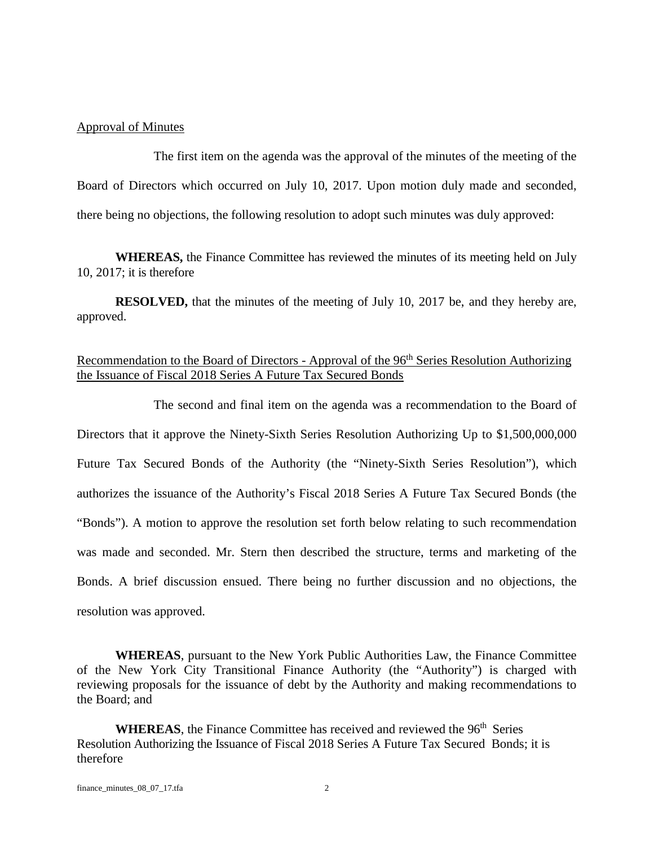## Approval of Minutes

The first item on the agenda was the approval of the minutes of the meeting of the Board of Directors which occurred on July 10, 2017. Upon motion duly made and seconded, there being no objections, the following resolution to adopt such minutes was duly approved:

**WHEREAS,** the Finance Committee has reviewed the minutes of its meeting held on July 10, 2017; it is therefore

**RESOLVED,** that the minutes of the meeting of July 10, 2017 be, and they hereby are, approved.

## Recommendation to the Board of Directors - Approval of the 96<sup>th</sup> Series Resolution Authorizing the Issuance of Fiscal 2018 Series A Future Tax Secured Bonds

The second and final item on the agenda was a recommendation to the Board of Directors that it approve the Ninety-Sixth Series Resolution Authorizing Up to \$1,500,000,000 Future Tax Secured Bonds of the Authority (the "Ninety-Sixth Series Resolution"), which authorizes the issuance of the Authority's Fiscal 2018 Series A Future Tax Secured Bonds (the "Bonds"). A motion to approve the resolution set forth below relating to such recommendation was made and seconded. Mr. Stern then described the structure, terms and marketing of the Bonds. A brief discussion ensued. There being no further discussion and no objections, the resolution was approved.

**WHEREAS**, pursuant to the New York Public Authorities Law, the Finance Committee of the New York City Transitional Finance Authority (the "Authority") is charged with reviewing proposals for the issuance of debt by the Authority and making recommendations to the Board; and

**WHEREAS**, the Finance Committee has received and reviewed the 96<sup>th</sup> Series Resolution Authorizing the Issuance of Fiscal 2018 Series A Future Tax Secured Bonds; it is therefore